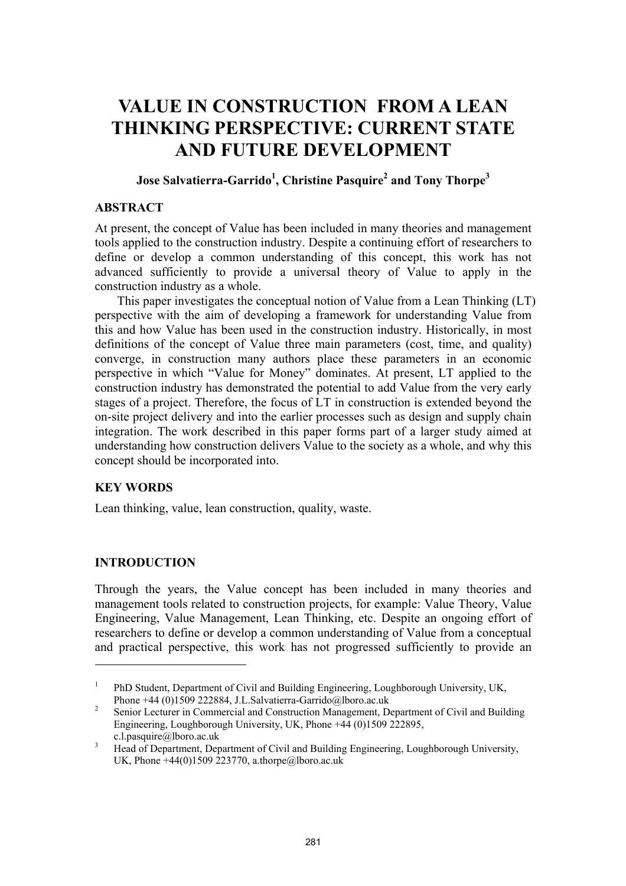# **VALUE IN CONSTRUCTION FROM A LEAN THINKING PERSPECTIVE: CURRENT STATE AND FUTURE DEVELOPMENT**

## $\bf{J}$ ose Salvatierra-Garrido $^1$ , Christine Pasquire $^2$  and Tony Thorpe $^3$

#### **ABSTRACT**

At present, the concept of Value has been included in many theories and management tools applied to the construction industry. Despite a continuing effort of researchers to define or develop a common understanding of this concept, this work has not advanced sufficiently to provide a universal theory of Value to apply in the construction industry as a whole.

This paper investigates the conceptual notion of Value from a Lean Thinking (LT) perspective with the aim of developing a framework for understanding Value from this and how Value has been used in the construction industry. Historically, in most definitions of the concept of Value three main parameters (cost, time, and quality) converge, in construction many authors place these parameters in an economic perspective in which "Value for Money" dominates. At present, LT applied to the construction industry has demonstrated the potential to add Value from the very early stages of a project. Therefore, the focus of LT in construction is extended beyond the on-site project delivery and into the earlier processes such as design and supply chain integration. The work described in this paper forms part of a larger study aimed at understanding how construction delivers Value to the society as a whole, and why this concept should be incorporated into.

### **KEY WORDS**

Lean thinking, value, lean construction, quality, waste.

### **INTRODUCTION**

l

Through the years, the Value concept has been included in many theories and management tools related to construction projects, for example: Value Theory, Value Engineering, Value Management, Lean Thinking, etc. Despite an ongoing effort of researchers to define or develop a common understanding of Value from a conceptual and practical perspective, this work has not progressed sufficiently to provide an

<sup>1</sup> PhD Student, Department of Civil and Building Engineering, Loughborough University, UK, Phone +44 (0)1509 222884, J.L.Salvatierra-Garrido@lboro.ac.uk 2

Senior Lecturer in Commercial and Construction Management, Department of Civil and Building Engineering, Loughborough University, UK, Phone +44 (0)1509 222895, c.l.pasquire@lboro.ac.uk<br> $\frac{3}{1}$  Used of Department, Dep

Head of Department, Department of Civil and Building Engineering, Loughborough University, UK, Phone +44(0)1509 223770, a.thorpe@lboro.ac.uk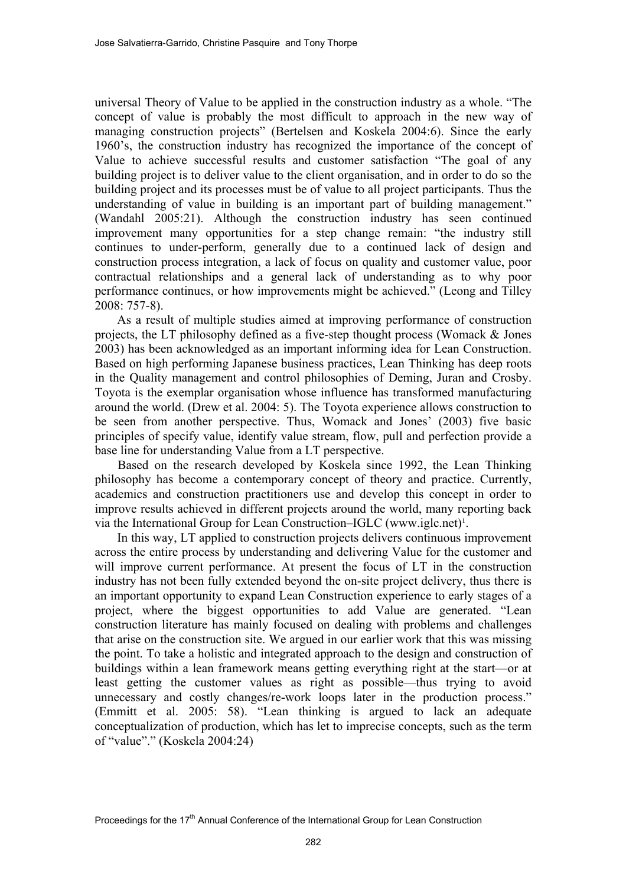universal Theory of Value to be applied in the construction industry as a whole. "The concept of value is probably the most difficult to approach in the new way of managing construction projects" (Bertelsen and Koskela 2004:6). Since the early 1960's, the construction industry has recognized the importance of the concept of Value to achieve successful results and customer satisfaction "The goal of any building project is to deliver value to the client organisation, and in order to do so the building project and its processes must be of value to all project participants. Thus the understanding of value in building is an important part of building management." (Wandahl 2005:21). Although the construction industry has seen continued improvement many opportunities for a step change remain: "the industry still continues to under-perform, generally due to a continued lack of design and construction process integration, a lack of focus on quality and customer value, poor contractual relationships and a general lack of understanding as to why poor performance continues, or how improvements might be achieved." (Leong and Tilley 2008: 757-8).

As a result of multiple studies aimed at improving performance of construction projects, the LT philosophy defined as a five-step thought process (Womack & Jones 2003) has been acknowledged as an important informing idea for Lean Construction. Based on high performing Japanese business practices, Lean Thinking has deep roots in the Quality management and control philosophies of Deming, Juran and Crosby. Toyota is the exemplar organisation whose influence has transformed manufacturing around the world. (Drew et al. 2004: 5). The Toyota experience allows construction to be seen from another perspective. Thus, Womack and Jones' (2003) five basic principles of specify value, identify value stream, flow, pull and perfection provide a base line for understanding Value from a LT perspective.

Based on the research developed by Koskela since 1992, the Lean Thinking philosophy has become a contemporary concept of theory and practice. Currently, academics and construction practitioners use and develop this concept in order to improve results achieved in different projects around the world, many reporting back via the International Group for Lean Construction–IGLC (www.iglc.net)<sup>1</sup>.

In this way, LT applied to construction projects delivers continuous improvement across the entire process by understanding and delivering Value for the customer and will improve current performance. At present the focus of LT in the construction industry has not been fully extended beyond the on-site project delivery, thus there is an important opportunity to expand Lean Construction experience to early stages of a project, where the biggest opportunities to add Value are generated. "Lean construction literature has mainly focused on dealing with problems and challenges that arise on the construction site. We argued in our earlier work that this was missing the point. To take a holistic and integrated approach to the design and construction of buildings within a lean framework means getting everything right at the start—or at least getting the customer values as right as possible—thus trying to avoid unnecessary and costly changes/re-work loops later in the production process." (Emmitt et al. 2005: 58). "Lean thinking is argued to lack an adequate conceptualization of production, which has let to imprecise concepts, such as the term of "value"." (Koskela 2004:24)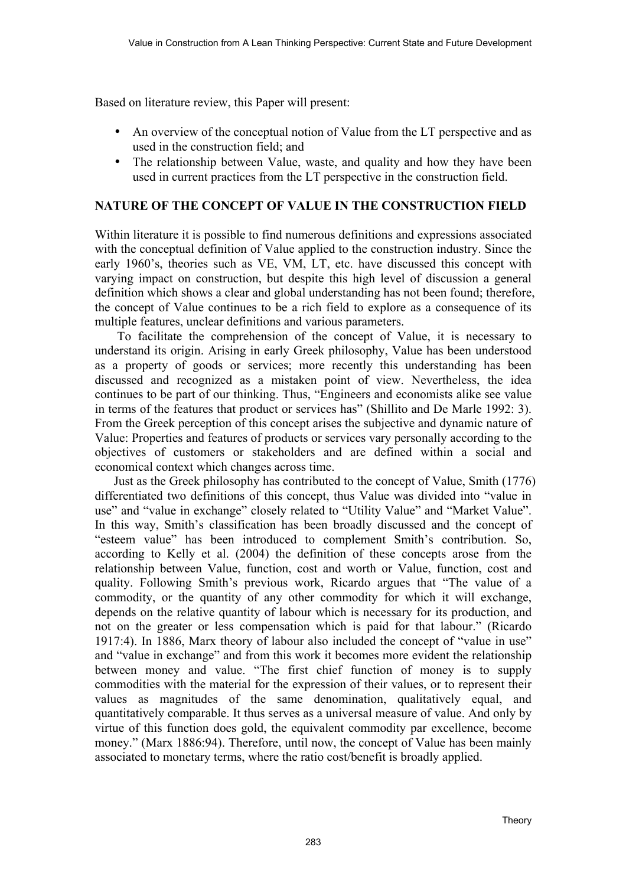Based on literature review, this Paper will present:

- An overview of the conceptual notion of Value from the LT perspective and as used in the construction field; and
- The relationship between Value, waste, and quality and how they have been used in current practices from the LT perspective in the construction field.

### **NATURE OF THE CONCEPT OF VALUE IN THE CONSTRUCTION FIELD**

Within literature it is possible to find numerous definitions and expressions associated with the conceptual definition of Value applied to the construction industry. Since the early 1960's, theories such as VE, VM, LT, etc. have discussed this concept with varying impact on construction, but despite this high level of discussion a general definition which shows a clear and global understanding has not been found; therefore, the concept of Value continues to be a rich field to explore as a consequence of its multiple features, unclear definitions and various parameters.

To facilitate the comprehension of the concept of Value, it is necessary to understand its origin. Arising in early Greek philosophy, Value has been understood as a property of goods or services; more recently this understanding has been discussed and recognized as a mistaken point of view. Nevertheless, the idea continues to be part of our thinking. Thus, "Engineers and economists alike see value in terms of the features that product or services has" (Shillito and De Marle 1992: 3). From the Greek perception of this concept arises the subjective and dynamic nature of Value: Properties and features of products or services vary personally according to the objectives of customers or stakeholders and are defined within a social and economical context which changes across time.

Just as the Greek philosophy has contributed to the concept of Value, Smith (1776) differentiated two definitions of this concept, thus Value was divided into "value in use" and "value in exchange" closely related to "Utility Value" and "Market Value". In this way, Smith's classification has been broadly discussed and the concept of "esteem value" has been introduced to complement Smith's contribution. So, according to Kelly et al. (2004) the definition of these concepts arose from the relationship between Value, function, cost and worth or Value, function, cost and quality. Following Smith's previous work, Ricardo argues that "The value of a commodity, or the quantity of any other commodity for which it will exchange, depends on the relative quantity of labour which is necessary for its production, and not on the greater or less compensation which is paid for that labour." (Ricardo 1917:4). In 1886, Marx theory of labour also included the concept of "value in use" and "value in exchange" and from this work it becomes more evident the relationship between money and value. "The first chief function of money is to supply commodities with the material for the expression of their values, or to represent their values as magnitudes of the same denomination, qualitatively equal, and quantitatively comparable. It thus serves as a universal measure of value. And only by virtue of this function does gold, the equivalent commodity par excellence, become money." (Marx 1886:94). Therefore, until now, the concept of Value has been mainly associated to monetary terms, where the ratio cost/benefit is broadly applied.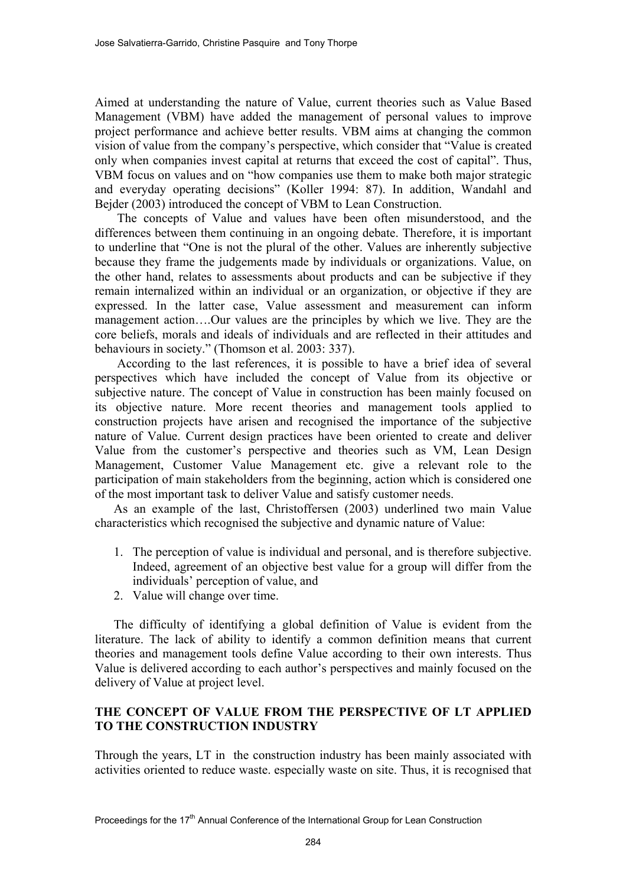Aimed at understanding the nature of Value, current theories such as Value Based Management (VBM) have added the management of personal values to improve project performance and achieve better results. VBM aims at changing the common vision of value from the company's perspective, which consider that "Value is created only when companies invest capital at returns that exceed the cost of capital". Thus, VBM focus on values and on "how companies use them to make both major strategic and everyday operating decisions" (Koller 1994: 87). In addition, Wandahl and Bejder (2003) introduced the concept of VBM to Lean Construction.

The concepts of Value and values have been often misunderstood, and the differences between them continuing in an ongoing debate. Therefore, it is important to underline that "One is not the plural of the other. Values are inherently subjective because they frame the judgements made by individuals or organizations. Value, on the other hand, relates to assessments about products and can be subjective if they remain internalized within an individual or an organization, or objective if they are expressed. In the latter case, Value assessment and measurement can inform management action….Our values are the principles by which we live. They are the core beliefs, morals and ideals of individuals and are reflected in their attitudes and behaviours in society." (Thomson et al. 2003: 337).

According to the last references, it is possible to have a brief idea of several perspectives which have included the concept of Value from its objective or subjective nature. The concept of Value in construction has been mainly focused on its objective nature. More recent theories and management tools applied to construction projects have arisen and recognised the importance of the subjective nature of Value. Current design practices have been oriented to create and deliver Value from the customer's perspective and theories such as VM, Lean Design Management, Customer Value Management etc. give a relevant role to the participation of main stakeholders from the beginning, action which is considered one of the most important task to deliver Value and satisfy customer needs.

As an example of the last, Christoffersen (2003) underlined two main Value characteristics which recognised the subjective and dynamic nature of Value:

- 1. The perception of value is individual and personal, and is therefore subjective. Indeed, agreement of an objective best value for a group will differ from the individuals' perception of value, and
- 2. Value will change over time.

The difficulty of identifying a global definition of Value is evident from the literature. The lack of ability to identify a common definition means that current theories and management tools define Value according to their own interests. Thus Value is delivered according to each author's perspectives and mainly focused on the delivery of Value at project level.

## **THE CONCEPT OF VALUE FROM THE PERSPECTIVE OF LT APPLIED TO THE CONSTRUCTION INDUSTRY**

Through the years, LT in the construction industry has been mainly associated with activities oriented to reduce waste. especially waste on site. Thus, it is recognised that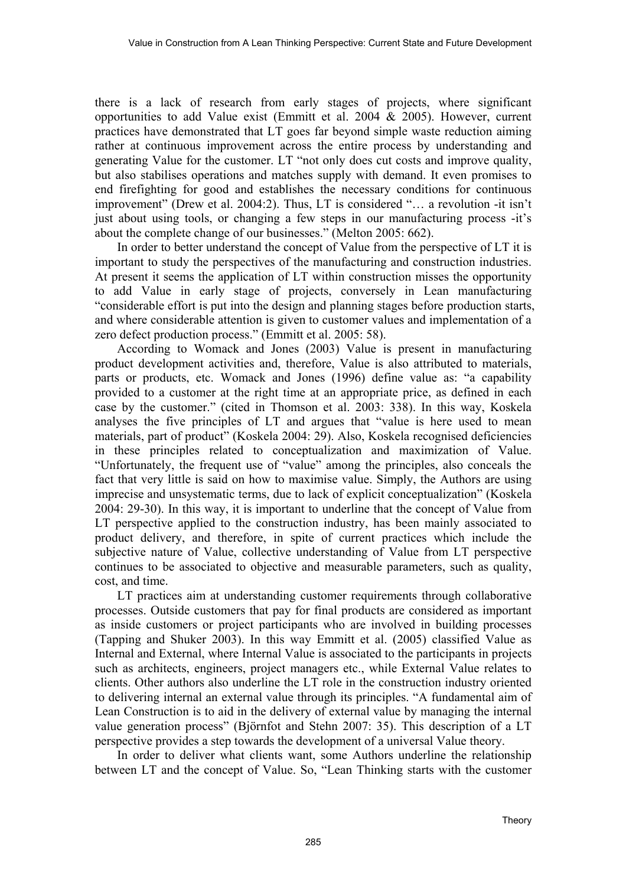there is a lack of research from early stages of projects, where significant opportunities to add Value exist (Emmitt et al. 2004 & 2005). However, current practices have demonstrated that LT goes far beyond simple waste reduction aiming rather at continuous improvement across the entire process by understanding and generating Value for the customer. LT "not only does cut costs and improve quality, but also stabilises operations and matches supply with demand. It even promises to end firefighting for good and establishes the necessary conditions for continuous improvement" (Drew et al. 2004:2). Thus, LT is considered "… a revolution -it isn't just about using tools, or changing a few steps in our manufacturing process -it's about the complete change of our businesses." (Melton 2005: 662).

In order to better understand the concept of Value from the perspective of LT it is important to study the perspectives of the manufacturing and construction industries. At present it seems the application of LT within construction misses the opportunity to add Value in early stage of projects, conversely in Lean manufacturing "considerable effort is put into the design and planning stages before production starts, and where considerable attention is given to customer values and implementation of a zero defect production process." (Emmitt et al. 2005: 58).

According to Womack and Jones (2003) Value is present in manufacturing product development activities and, therefore, Value is also attributed to materials, parts or products, etc. Womack and Jones (1996) define value as: "a capability provided to a customer at the right time at an appropriate price, as defined in each case by the customer." (cited in Thomson et al. 2003: 338). In this way, Koskela analyses the five principles of LT and argues that "value is here used to mean materials, part of product" (Koskela 2004: 29). Also, Koskela recognised deficiencies in these principles related to conceptualization and maximization of Value. "Unfortunately, the frequent use of "value" among the principles, also conceals the fact that very little is said on how to maximise value. Simply, the Authors are using imprecise and unsystematic terms, due to lack of explicit conceptualization" (Koskela 2004: 29-30). In this way, it is important to underline that the concept of Value from LT perspective applied to the construction industry, has been mainly associated to product delivery, and therefore, in spite of current practices which include the subjective nature of Value, collective understanding of Value from LT perspective continues to be associated to objective and measurable parameters, such as quality, cost, and time.

LT practices aim at understanding customer requirements through collaborative processes. Outside customers that pay for final products are considered as important as inside customers or project participants who are involved in building processes (Tapping and Shuker 2003). In this way Emmitt et al. (2005) classified Value as Internal and External, where Internal Value is associated to the participants in projects such as architects, engineers, project managers etc., while External Value relates to clients. Other authors also underline the LT role in the construction industry oriented to delivering internal an external value through its principles. "A fundamental aim of Lean Construction is to aid in the delivery of external value by managing the internal value generation process" (Björnfot and Stehn 2007: 35). This description of a LT perspective provides a step towards the development of a universal Value theory.

In order to deliver what clients want, some Authors underline the relationship between LT and the concept of Value. So, "Lean Thinking starts with the customer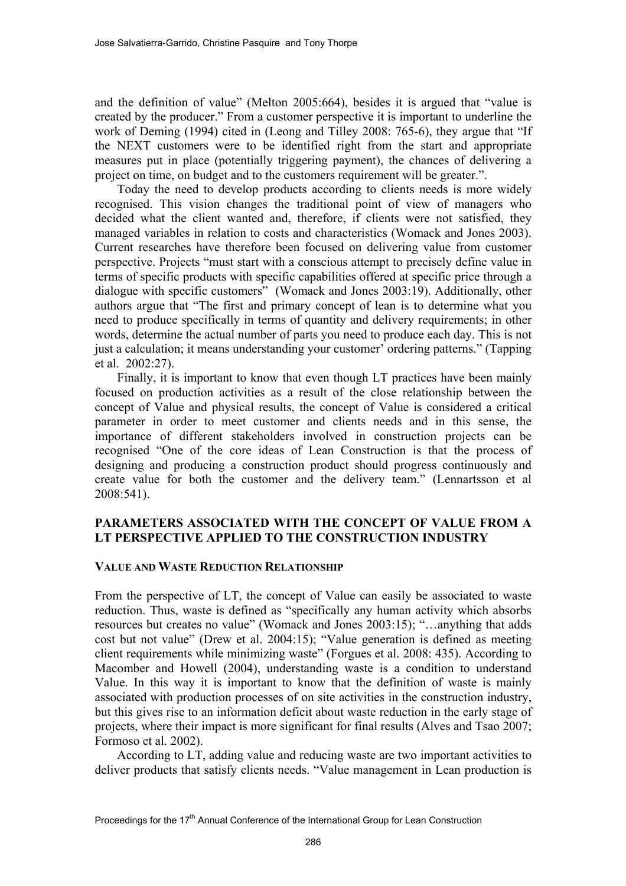and the definition of value" (Melton 2005:664), besides it is argued that "value is created by the producer." From a customer perspective it is important to underline the work of Deming (1994) cited in (Leong and Tilley 2008: 765-6), they argue that "If the NEXT customers were to be identified right from the start and appropriate measures put in place (potentially triggering payment), the chances of delivering a project on time, on budget and to the customers requirement will be greater.".

Today the need to develop products according to clients needs is more widely recognised. This vision changes the traditional point of view of managers who decided what the client wanted and, therefore, if clients were not satisfied, they managed variables in relation to costs and characteristics (Womack and Jones 2003). Current researches have therefore been focused on delivering value from customer perspective. Projects "must start with a conscious attempt to precisely define value in terms of specific products with specific capabilities offered at specific price through a dialogue with specific customers" (Womack and Jones 2003:19). Additionally, other authors argue that "The first and primary concept of lean is to determine what you need to produce specifically in terms of quantity and delivery requirements; in other words, determine the actual number of parts you need to produce each day. This is not just a calculation; it means understanding your customer' ordering patterns." (Tapping et al. 2002:27).

Finally, it is important to know that even though LT practices have been mainly focused on production activities as a result of the close relationship between the concept of Value and physical results, the concept of Value is considered a critical parameter in order to meet customer and clients needs and in this sense, the importance of different stakeholders involved in construction projects can be recognised "One of the core ideas of Lean Construction is that the process of designing and producing a construction product should progress continuously and create value for both the customer and the delivery team." (Lennartsson et al 2008:541).

## **PARAMETERS ASSOCIATED WITH THE CONCEPT OF VALUE FROM A LT PERSPECTIVE APPLIED TO THE CONSTRUCTION INDUSTRY**

#### **VALUE AND WASTE REDUCTION RELATIONSHIP**

From the perspective of LT, the concept of Value can easily be associated to waste reduction. Thus, waste is defined as "specifically any human activity which absorbs resources but creates no value" (Womack and Jones 2003:15); "…anything that adds cost but not value" (Drew et al. 2004:15); "Value generation is defined as meeting client requirements while minimizing waste" (Forgues et al. 2008: 435). According to Macomber and Howell (2004), understanding waste is a condition to understand Value. In this way it is important to know that the definition of waste is mainly associated with production processes of on site activities in the construction industry, but this gives rise to an information deficit about waste reduction in the early stage of projects, where their impact is more significant for final results (Alves and Tsao 2007; Formoso et al. 2002).

According to LT, adding value and reducing waste are two important activities to deliver products that satisfy clients needs. "Value management in Lean production is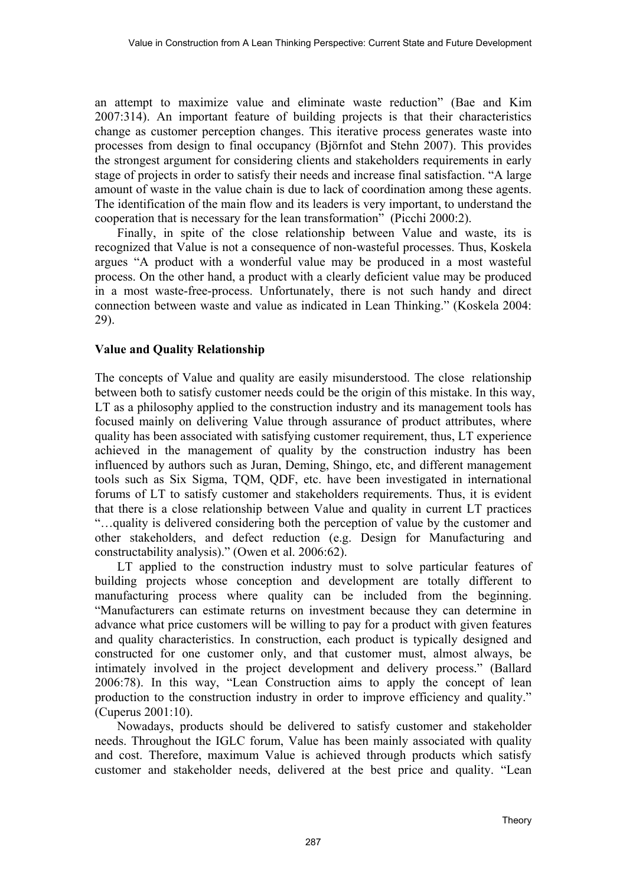an attempt to maximize value and eliminate waste reduction" (Bae and Kim 2007:314). An important feature of building projects is that their characteristics change as customer perception changes. This iterative process generates waste into processes from design to final occupancy (Björnfot and Stehn 2007). This provides the strongest argument for considering clients and stakeholders requirements in early stage of projects in order to satisfy their needs and increase final satisfaction. "A large amount of waste in the value chain is due to lack of coordination among these agents. The identification of the main flow and its leaders is very important, to understand the cooperation that is necessary for the lean transformation" (Picchi 2000:2).

Finally, in spite of the close relationship between Value and waste, its is recognized that Value is not a consequence of non-wasteful processes. Thus, Koskela argues "A product with a wonderful value may be produced in a most wasteful process. On the other hand, a product with a clearly deficient value may be produced in a most waste-free-process. Unfortunately, there is not such handy and direct connection between waste and value as indicated in Lean Thinking." (Koskela 2004: 29).

## **Value and Quality Relationship**

The concepts of Value and quality are easily misunderstood. The close relationship between both to satisfy customer needs could be the origin of this mistake. In this way, LT as a philosophy applied to the construction industry and its management tools has focused mainly on delivering Value through assurance of product attributes, where quality has been associated with satisfying customer requirement, thus, LT experience achieved in the management of quality by the construction industry has been influenced by authors such as Juran, Deming, Shingo, etc, and different management tools such as Six Sigma, TQM, QDF, etc. have been investigated in international forums of LT to satisfy customer and stakeholders requirements. Thus, it is evident that there is a close relationship between Value and quality in current LT practices "…quality is delivered considering both the perception of value by the customer and other stakeholders, and defect reduction (e.g. Design for Manufacturing and constructability analysis)." (Owen et al. 2006:62).

LT applied to the construction industry must to solve particular features of building projects whose conception and development are totally different to manufacturing process where quality can be included from the beginning. "Manufacturers can estimate returns on investment because they can determine in advance what price customers will be willing to pay for a product with given features and quality characteristics. In construction, each product is typically designed and constructed for one customer only, and that customer must, almost always, be intimately involved in the project development and delivery process." (Ballard 2006:78). In this way, "Lean Construction aims to apply the concept of lean production to the construction industry in order to improve efficiency and quality." (Cuperus 2001:10).

Nowadays, products should be delivered to satisfy customer and stakeholder needs. Throughout the IGLC forum, Value has been mainly associated with quality and cost. Therefore, maximum Value is achieved through products which satisfy customer and stakeholder needs, delivered at the best price and quality. "Lean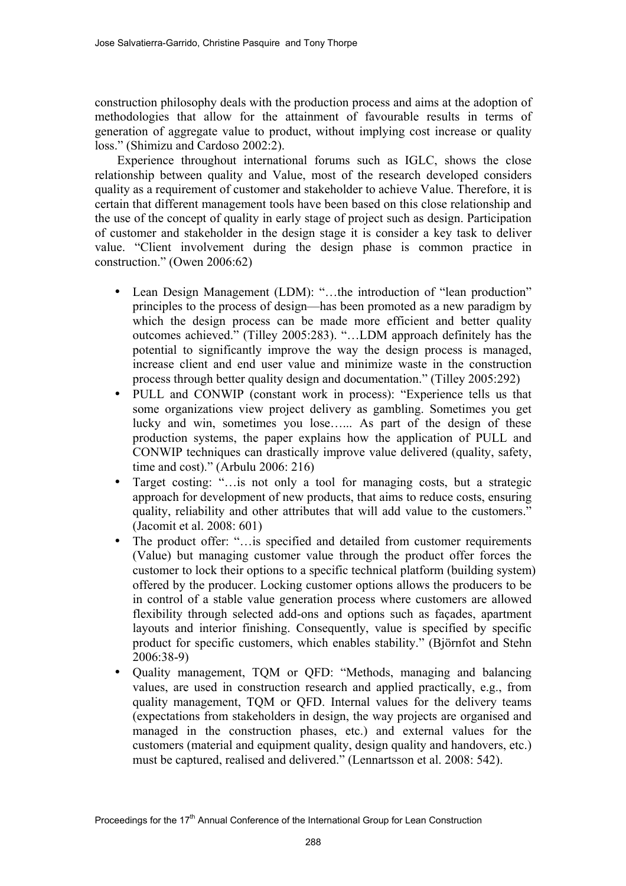construction philosophy deals with the production process and aims at the adoption of methodologies that allow for the attainment of favourable results in terms of generation of aggregate value to product, without implying cost increase or quality loss." (Shimizu and Cardoso 2002:2).

Experience throughout international forums such as IGLC, shows the close relationship between quality and Value, most of the research developed considers quality as a requirement of customer and stakeholder to achieve Value. Therefore, it is certain that different management tools have been based on this close relationship and the use of the concept of quality in early stage of project such as design. Participation of customer and stakeholder in the design stage it is consider a key task to deliver value. "Client involvement during the design phase is common practice in construction." (Owen 2006:62)

- Lean Design Management (LDM): "...the introduction of "lean production" principles to the process of design—has been promoted as a new paradigm by which the design process can be made more efficient and better quality outcomes achieved." (Tilley 2005:283). "…LDM approach definitely has the potential to significantly improve the way the design process is managed, increase client and end user value and minimize waste in the construction process through better quality design and documentation." (Tilley 2005:292)
- PULL and CONWIP (constant work in process): "Experience tells us that some organizations view project delivery as gambling. Sometimes you get lucky and win, sometimes you lose…... As part of the design of these production systems, the paper explains how the application of PULL and CONWIP techniques can drastically improve value delivered (quality, safety, time and cost)." (Arbulu 2006: 216)
- Target costing: "...is not only a tool for managing costs, but a strategic approach for development of new products, that aims to reduce costs, ensuring quality, reliability and other attributes that will add value to the customers." (Jacomit et al. 2008: 601)
- The product offer: "...is specified and detailed from customer requirements (Value) but managing customer value through the product offer forces the customer to lock their options to a specific technical platform (building system) offered by the producer. Locking customer options allows the producers to be in control of a stable value generation process where customers are allowed flexibility through selected add-ons and options such as façades, apartment layouts and interior finishing. Consequently, value is specified by specific product for specific customers, which enables stability." (Björnfot and Stehn 2006:38-9)
- Quality management, TQM or QFD: "Methods, managing and balancing values, are used in construction research and applied practically, e.g., from quality management, TQM or QFD. Internal values for the delivery teams (expectations from stakeholders in design, the way projects are organised and managed in the construction phases, etc.) and external values for the customers (material and equipment quality, design quality and handovers, etc.) must be captured, realised and delivered." (Lennartsson et al. 2008: 542).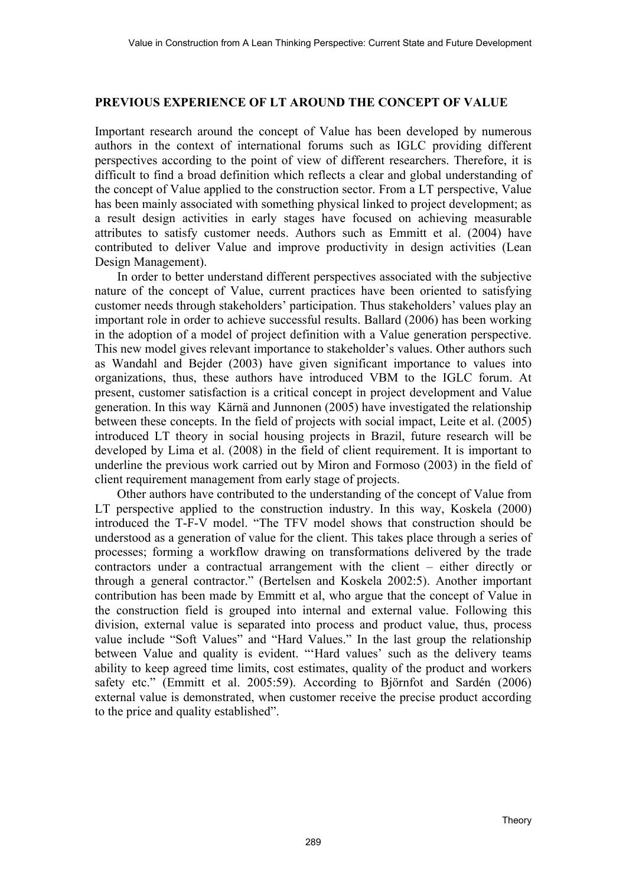### **PREVIOUS EXPERIENCE OF LT AROUND THE CONCEPT OF VALUE**

Important research around the concept of Value has been developed by numerous authors in the context of international forums such as IGLC providing different perspectives according to the point of view of different researchers. Therefore, it is difficult to find a broad definition which reflects a clear and global understanding of the concept of Value applied to the construction sector. From a LT perspective, Value has been mainly associated with something physical linked to project development; as a result design activities in early stages have focused on achieving measurable attributes to satisfy customer needs. Authors such as Emmitt et al. (2004) have contributed to deliver Value and improve productivity in design activities (Lean Design Management).

In order to better understand different perspectives associated with the subjective nature of the concept of Value, current practices have been oriented to satisfying customer needs through stakeholders' participation. Thus stakeholders' values play an important role in order to achieve successful results. Ballard (2006) has been working in the adoption of a model of project definition with a Value generation perspective. This new model gives relevant importance to stakeholder's values. Other authors such as Wandahl and Bejder (2003) have given significant importance to values into organizations, thus, these authors have introduced VBM to the IGLC forum. At present, customer satisfaction is a critical concept in project development and Value generation. In this way Kärnä and Junnonen (2005) have investigated the relationship between these concepts. In the field of projects with social impact, Leite et al. (2005) introduced LT theory in social housing projects in Brazil, future research will be developed by Lima et al. (2008) in the field of client requirement. It is important to underline the previous work carried out by Miron and Formoso (2003) in the field of client requirement management from early stage of projects.

Other authors have contributed to the understanding of the concept of Value from LT perspective applied to the construction industry. In this way, Koskela (2000) introduced the T-F-V model. "The TFV model shows that construction should be understood as a generation of value for the client. This takes place through a series of processes; forming a workflow drawing on transformations delivered by the trade contractors under a contractual arrangement with the client – either directly or through a general contractor." (Bertelsen and Koskela 2002:5). Another important contribution has been made by Emmitt et al, who argue that the concept of Value in the construction field is grouped into internal and external value. Following this division, external value is separated into process and product value, thus, process value include "Soft Values" and "Hard Values." In the last group the relationship between Value and quality is evident. "'Hard values' such as the delivery teams ability to keep agreed time limits, cost estimates, quality of the product and workers safety etc." (Emmitt et al. 2005:59). According to Björnfot and Sardén (2006) external value is demonstrated, when customer receive the precise product according to the price and quality established".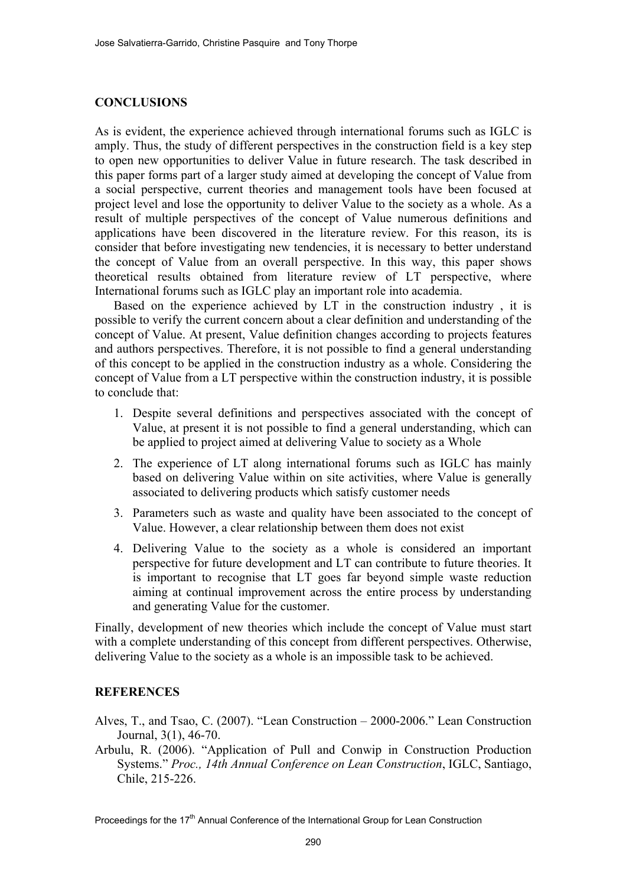#### **CONCLUSIONS**

As is evident, the experience achieved through international forums such as IGLC is amply. Thus, the study of different perspectives in the construction field is a key step to open new opportunities to deliver Value in future research. The task described in this paper forms part of a larger study aimed at developing the concept of Value from a social perspective, current theories and management tools have been focused at project level and lose the opportunity to deliver Value to the society as a whole. As a result of multiple perspectives of the concept of Value numerous definitions and applications have been discovered in the literature review. For this reason, its is consider that before investigating new tendencies, it is necessary to better understand the concept of Value from an overall perspective. In this way, this paper shows theoretical results obtained from literature review of LT perspective, where International forums such as IGLC play an important role into academia.

Based on the experience achieved by LT in the construction industry , it is possible to verify the current concern about a clear definition and understanding of the concept of Value. At present, Value definition changes according to projects features and authors perspectives. Therefore, it is not possible to find a general understanding of this concept to be applied in the construction industry as a whole. Considering the concept of Value from a LT perspective within the construction industry, it is possible to conclude that:

- 1. Despite several definitions and perspectives associated with the concept of Value, at present it is not possible to find a general understanding, which can be applied to project aimed at delivering Value to society as a Whole
- 2. The experience of LT along international forums such as IGLC has mainly based on delivering Value within on site activities, where Value is generally associated to delivering products which satisfy customer needs
- 3. Parameters such as waste and quality have been associated to the concept of Value. However, a clear relationship between them does not exist
- 4. Delivering Value to the society as a whole is considered an important perspective for future development and LT can contribute to future theories. It is important to recognise that LT goes far beyond simple waste reduction aiming at continual improvement across the entire process by understanding and generating Value for the customer.

Finally, development of new theories which include the concept of Value must start with a complete understanding of this concept from different perspectives. Otherwise, delivering Value to the society as a whole is an impossible task to be achieved.

#### **REFERENCES**

- Alves, T., and Tsao, C. (2007). "Lean Construction 2000-2006." Lean Construction Journal, 3(1), 46-70.
- Arbulu, R. (2006). "Application of Pull and Conwip in Construction Production Systems." *Proc., 14th Annual Conference on Lean Construction*, IGLC, Santiago, Chile, 215-226.

Proceedings for the 17<sup>th</sup> Annual Conference of the International Group for Lean Construction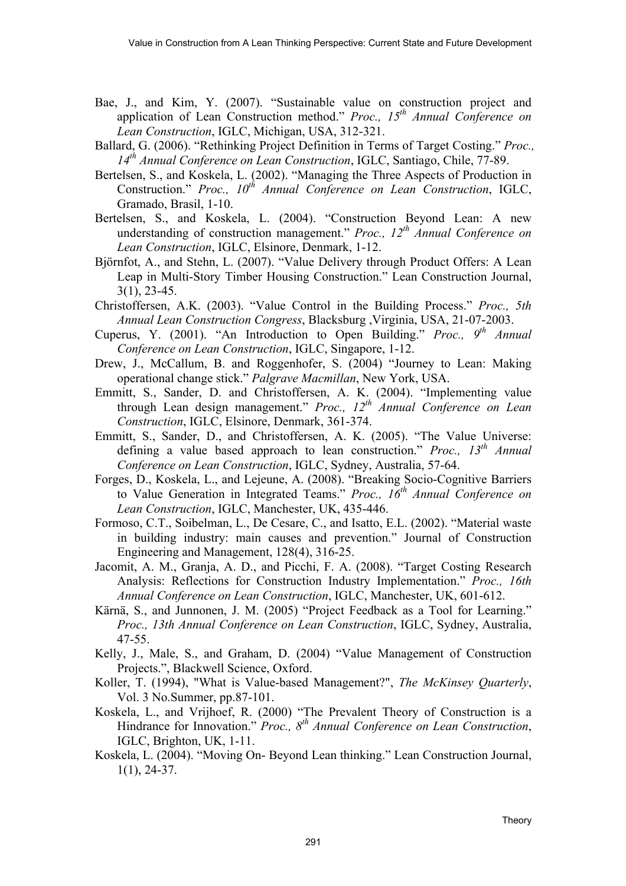- Bae, J., and Kim, Y. (2007). "Sustainable value on construction project and application of Lean Construction method." *Proc., 15th Annual Conference on Lean Construction*, IGLC, Michigan, USA, 312-321.
- Ballard, G. (2006). "Rethinking Project Definition in Terms of Target Costing." *Proc., 14th Annual Conference on Lean Construction*, IGLC, Santiago, Chile, 77-89.
- Bertelsen, S., and Koskela, L. (2002). "Managing the Three Aspects of Production in Construction." *Proc., 10th Annual Conference on Lean Construction*, IGLC, Gramado, Brasil, 1-10.
- Bertelsen, S., and Koskela, L. (2004). "Construction Beyond Lean: A new understanding of construction management." *Proc., 12th Annual Conference on Lean Construction*, IGLC, Elsinore, Denmark, 1-12.
- Björnfot, A., and Stehn, L. (2007). "Value Delivery through Product Offers: A Lean Leap in Multi-Story Timber Housing Construction." Lean Construction Journal, 3(1), 23-45.
- Christoffersen, A.K. (2003). "Value Control in the Building Process." *Proc., 5th Annual Lean Construction Congress*, Blacksburg ,Virginia, USA, 21-07-2003.
- Cuperus, Y. (2001). "An Introduction to Open Building." *Proc., 9th Annual Conference on Lean Construction*, IGLC, Singapore, 1-12.
- Drew, J., McCallum, B. and Roggenhofer, S. (2004) "Journey to Lean: Making operational change stick." *Palgrave Macmillan*, New York, USA.
- Emmitt, S., Sander, D. and Christoffersen, A. K. (2004). "Implementing value through Lean design management." *Proc., 12th Annual Conference on Lean Construction*, IGLC, Elsinore, Denmark, 361-374.
- Emmitt, S., Sander, D., and Christoffersen, A. K. (2005). "The Value Universe: defining a value based approach to lean construction." *Proc., 13th Annual Conference on Lean Construction*, IGLC, Sydney, Australia, 57-64.
- Forges, D., Koskela, L., and Lejeune, A. (2008). "Breaking Socio-Cognitive Barriers to Value Generation in Integrated Teams." *Proc., 16th Annual Conference on Lean Construction*, IGLC, Manchester, UK, 435-446.
- Formoso, C.T., Soibelman, L., De Cesare, C., and Isatto, E.L. (2002). "Material waste in building industry: main causes and prevention." Journal of Construction Engineering and Management, 128(4), 316-25.
- Jacomit, A. M., Granja, A. D., and Picchi, F. A. (2008). "Target Costing Research Analysis: Reflections for Construction Industry Implementation." *Proc., 16th Annual Conference on Lean Construction*, IGLC, Manchester, UK, 601-612.
- Kärnä, S., and Junnonen, J. M. (2005) "Project Feedback as a Tool for Learning." *Proc., 13th Annual Conference on Lean Construction*, IGLC, Sydney, Australia, 47-55.
- Kelly, J., Male, S., and Graham, D. (2004) "Value Management of Construction Projects.", Blackwell Science, Oxford.
- Koller, T. (1994), "What is Value-based Management?", *The McKinsey Quarterly*, Vol. 3 No.Summer, pp.87-101.
- Koskela, L., and Vrijhoef, R. (2000) "The Prevalent Theory of Construction is a Hindrance for Innovation." *Proc., 8th Annual Conference on Lean Construction*, IGLC, Brighton, UK, 1-11.
- Koskela, L. (2004). "Moving On- Beyond Lean thinking." Lean Construction Journal, 1(1), 24-37.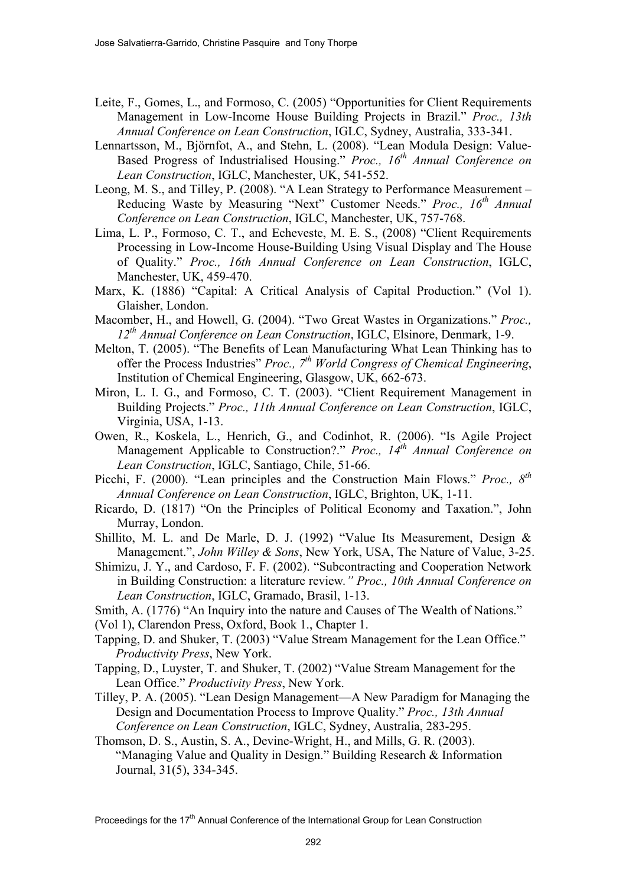- Leite, F., Gomes, L., and Formoso, C. (2005) "Opportunities for Client Requirements Management in Low-Income House Building Projects in Brazil." *Proc., 13th Annual Conference on Lean Construction*, IGLC, Sydney, Australia, 333-341.
- Lennartsson, M., Björnfot, A., and Stehn, L. (2008). "Lean Modula Design: Value-Based Progress of Industrialised Housing." *Proc., 16th Annual Conference on Lean Construction*, IGLC, Manchester, UK, 541-552.
- Leong, M. S., and Tilley, P. (2008). "A Lean Strategy to Performance Measurement Reducing Waste by Measuring "Next" Customer Needs." *Proc., 16th Annual Conference on Lean Construction*, IGLC, Manchester, UK, 757-768.
- Lima, L. P., Formoso, C. T., and Echeveste, M. E. S., (2008) "Client Requirements Processing in Low-Income House-Building Using Visual Display and The House of Quality." *Proc., 16th Annual Conference on Lean Construction*, IGLC, Manchester, UK, 459-470.
- Marx, K. (1886) "Capital: A Critical Analysis of Capital Production." (Vol 1). Glaisher, London.
- Macomber, H., and Howell, G. (2004). "Two Great Wastes in Organizations." *Proc., 12th Annual Conference on Lean Construction*, IGLC, Elsinore, Denmark, 1-9.
- Melton, T. (2005). "The Benefits of Lean Manufacturing What Lean Thinking has to offer the Process Industries" *Proc., 7th World Congress of Chemical Engineering*, Institution of Chemical Engineering, Glasgow, UK, 662-673.
- Miron, L. I. G., and Formoso, C. T. (2003). "Client Requirement Management in Building Projects." *Proc., 11th Annual Conference on Lean Construction*, IGLC, Virginia, USA, 1-13.
- Owen, R., Koskela, L., Henrich, G., and Codinhot, R. (2006). "Is Agile Project Management Applicable to Construction?." *Proc., 14<sup>th</sup> Annual Conference on Lean Construction*, IGLC, Santiago, Chile, 51-66.
- Picchi, F. (2000). "Lean principles and the Construction Main Flows." *Proc., 8th Annual Conference on Lean Construction*, IGLC, Brighton, UK, 1-11.
- Ricardo, D. (1817) "On the Principles of Political Economy and Taxation.", John Murray, London.
- Shillito, M. L. and De Marle, D. J. (1992) "Value Its Measurement, Design & Management.", *John Willey & Sons*, New York, USA, The Nature of Value, 3-25.
- Shimizu, J. Y., and Cardoso, F. F. (2002). "Subcontracting and Cooperation Network in Building Construction: a literature review*." Proc., 10th Annual Conference on Lean Construction*, IGLC, Gramado, Brasil, 1-13.

Smith, A. (1776) "An Inquiry into the nature and Causes of The Wealth of Nations."

(Vol 1), Clarendon Press, Oxford, Book 1., Chapter 1.

- Tapping, D. and Shuker, T. (2003) "Value Stream Management for the Lean Office." *Productivity Press*, New York.
- Tapping, D., Luyster, T. and Shuker, T. (2002) "Value Stream Management for the Lean Office." *Productivity Press*, New York.
- Tilley, P. A. (2005). "Lean Design Management—A New Paradigm for Managing the Design and Documentation Process to Improve Quality." *Proc., 13th Annual Conference on Lean Construction*, IGLC, Sydney, Australia, 283-295.
- Thomson, D. S., Austin, S. A., Devine-Wright, H., and Mills, G. R. (2003). "Managing Value and Quality in Design." Building Research & Information Journal, 31(5), 334-345.

Proceedings for the 17<sup>th</sup> Annual Conference of the International Group for Lean Construction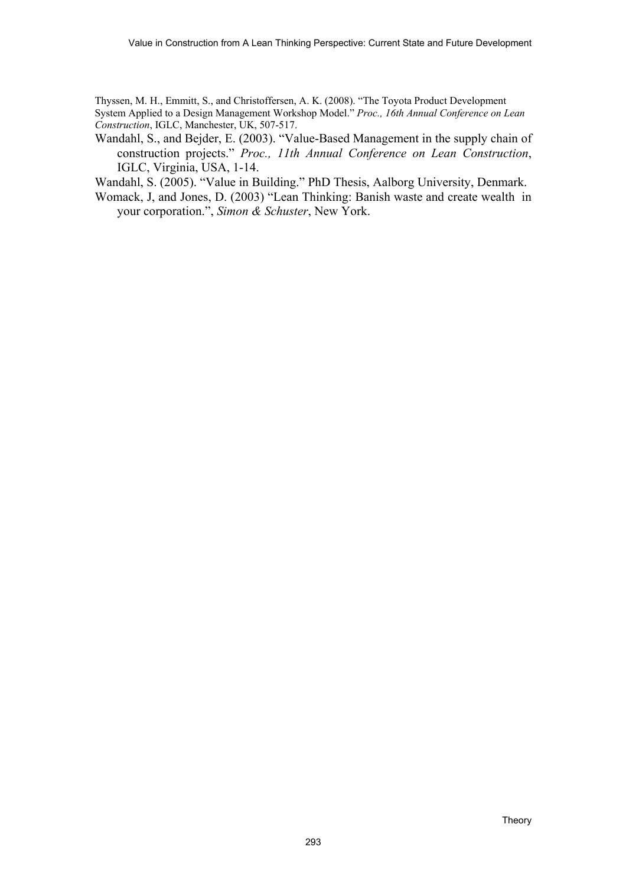Thyssen, M. H., Emmitt, S., and Christoffersen, A. K. (2008). "The Toyota Product Development System Applied to a Design Management Workshop Model." *Proc., 16th Annual Conference on Lean Construction*, IGLC, Manchester, UK, 507-517.

Wandahl, S., and Bejder, E. (2003). "Value-Based Management in the supply chain of construction projects." *Proc., 11th Annual Conference on Lean Construction*, IGLC, Virginia, USA, 1-14.

Wandahl, S. (2005). "Value in Building." PhD Thesis, Aalborg University, Denmark.

Womack, J, and Jones, D. (2003) "Lean Thinking: Banish waste and create wealth in your corporation.", *Simon & Schuster*, New York.